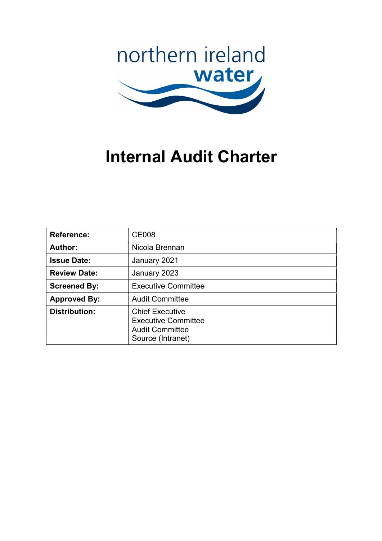

# Internal Audit Charter

| <b>Reference:</b>    | <b>CE008</b>                                                                                        |
|----------------------|-----------------------------------------------------------------------------------------------------|
| Author:              | Nicola Brennan                                                                                      |
| <b>Issue Date:</b>   | January 2021                                                                                        |
| <b>Review Date:</b>  | January 2023                                                                                        |
| <b>Screened By:</b>  | <b>Executive Committee</b>                                                                          |
| <b>Approved By:</b>  | <b>Audit Committee</b>                                                                              |
| <b>Distribution:</b> | <b>Chief Executive</b><br><b>Executive Committee</b><br><b>Audit Committee</b><br>Source (Intranet) |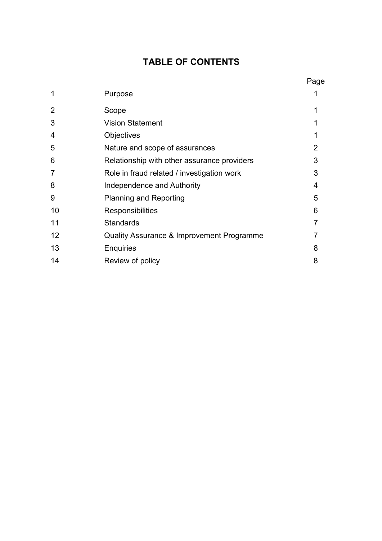# TABLE OF CONTENTS

|                |                                             | Page |
|----------------|---------------------------------------------|------|
| 1              | Purpose                                     |      |
| $\overline{2}$ | Scope                                       |      |
| 3              | <b>Vision Statement</b>                     |      |
| 4              | Objectives                                  |      |
| 5              | Nature and scope of assurances              | 2    |
| 6              | Relationship with other assurance providers | 3    |
| 7              | Role in fraud related / investigation work  | 3    |
| 8              | Independence and Authority                  | 4    |
| 9              | <b>Planning and Reporting</b>               | 5    |
| 10             | Responsibilities                            | 6    |
| 11             | <b>Standards</b>                            |      |
| 12             | Quality Assurance & Improvement Programme   |      |
| 13             | Enquiries                                   | 8    |
| 14             | Review of policy                            | 8    |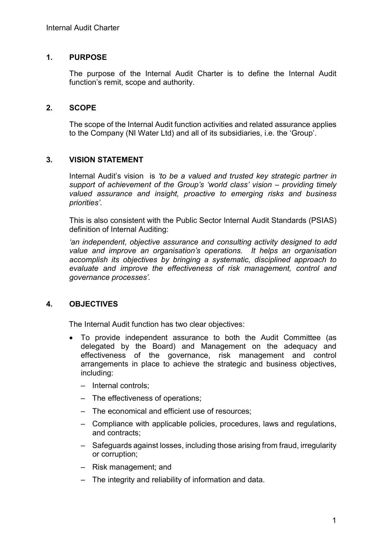# 1. PURPOSE

The purpose of the Internal Audit Charter is to define the Internal Audit function's remit, scope and authority.

# 2. SCOPE

The scope of the Internal Audit function activities and related assurance applies to the Company (NI Water Ltd) and all of its subsidiaries, i.e. the 'Group'.

# 3. VISION STATEMENT

Internal Audit's vision is 'to be a valued and trusted key strategic partner in support of achievement of the Group's 'world class' vision – providing timely valued assurance and insight, proactive to emerging risks and business priorities'.

This is also consistent with the Public Sector Internal Audit Standards (PSIAS) definition of Internal Auditing:

'an independent, objective assurance and consulting activity designed to add value and improve an organisation's operations. It helps an organisation accomplish its objectives by bringing a systematic, disciplined approach to evaluate and improve the effectiveness of risk management, control and governance processes'.

# 4. OBJECTIVES

The Internal Audit function has two clear objectives:

- To provide independent assurance to both the Audit Committee (as delegated by the Board) and Management on the adequacy and effectiveness of the governance, risk management and control arrangements in place to achieve the strategic and business objectives, including:
	- Internal controls;
	- The effectiveness of operations;
	- The economical and efficient use of resources;
	- Compliance with applicable policies, procedures, laws and regulations, and contracts;
	- Safeguards against losses, including those arising from fraud, irregularity or corruption;
	- Risk management; and
	- The integrity and reliability of information and data.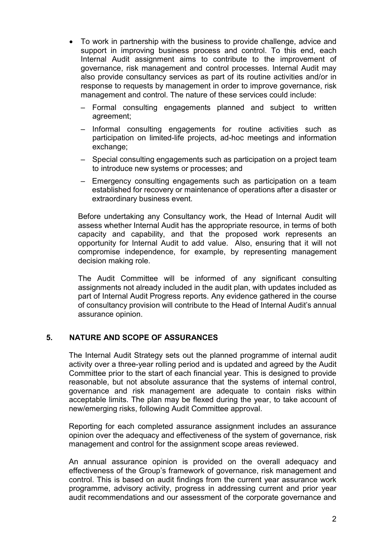- To work in partnership with the business to provide challenge, advice and support in improving business process and control. To this end, each Internal Audit assignment aims to contribute to the improvement of governance, risk management and control processes. Internal Audit may also provide consultancy services as part of its routine activities and/or in response to requests by management in order to improve governance, risk management and control. The nature of these services could include:
	- Formal consulting engagements planned and subject to written agreement;
	- Informal consulting engagements for routine activities such as participation on limited-life projects, ad-hoc meetings and information exchange;
	- Special consulting engagements such as participation on a project team to introduce new systems or processes; and
	- Emergency consulting engagements such as participation on a team established for recovery or maintenance of operations after a disaster or extraordinary business event.

Before undertaking any Consultancy work, the Head of Internal Audit will assess whether Internal Audit has the appropriate resource, in terms of both capacity and capability, and that the proposed work represents an opportunity for Internal Audit to add value. Also, ensuring that it will not compromise independence, for example, by representing management decision making role.

The Audit Committee will be informed of any significant consulting assignments not already included in the audit plan, with updates included as part of Internal Audit Progress reports. Any evidence gathered in the course of consultancy provision will contribute to the Head of Internal Audit's annual assurance opinion.

#### 5. NATURE AND SCOPE OF ASSURANCES

The Internal Audit Strategy sets out the planned programme of internal audit activity over a three-year rolling period and is updated and agreed by the Audit Committee prior to the start of each financial year. This is designed to provide reasonable, but not absolute assurance that the systems of internal control, governance and risk management are adequate to contain risks within acceptable limits. The plan may be flexed during the year, to take account of new/emerging risks, following Audit Committee approval.

Reporting for each completed assurance assignment includes an assurance opinion over the adequacy and effectiveness of the system of governance, risk management and control for the assignment scope areas reviewed.

An annual assurance opinion is provided on the overall adequacy and effectiveness of the Group's framework of governance, risk management and control. This is based on audit findings from the current year assurance work programme, advisory activity, progress in addressing current and prior year audit recommendations and our assessment of the corporate governance and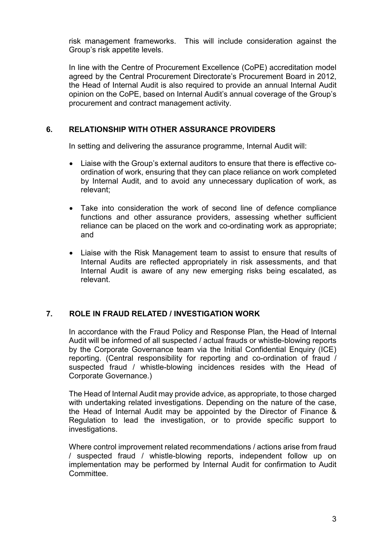risk management frameworks. This will include consideration against the Group's risk appetite levels.

In line with the Centre of Procurement Excellence (CoPE) accreditation model agreed by the Central Procurement Directorate's Procurement Board in 2012, the Head of Internal Audit is also required to provide an annual Internal Audit opinion on the CoPE, based on Internal Audit's annual coverage of the Group's procurement and contract management activity.

# 6. RELATIONSHIP WITH OTHER ASSURANCE PROVIDERS

In setting and delivering the assurance programme, Internal Audit will:

- Liaise with the Group's external auditors to ensure that there is effective coordination of work, ensuring that they can place reliance on work completed by Internal Audit, and to avoid any unnecessary duplication of work, as relevant;
- Take into consideration the work of second line of defence compliance functions and other assurance providers, assessing whether sufficient reliance can be placed on the work and co-ordinating work as appropriate; and
- Liaise with the Risk Management team to assist to ensure that results of Internal Audits are reflected appropriately in risk assessments, and that Internal Audit is aware of any new emerging risks being escalated, as relevant.

#### 7. ROLE IN FRAUD RELATED / INVESTIGATION WORK

In accordance with the Fraud Policy and Response Plan, the Head of Internal Audit will be informed of all suspected / actual frauds or whistle-blowing reports by the Corporate Governance team via the Initial Confidential Enquiry (ICE) reporting. (Central responsibility for reporting and co-ordination of fraud / suspected fraud / whistle-blowing incidences resides with the Head of Corporate Governance.)

The Head of Internal Audit may provide advice, as appropriate, to those charged with undertaking related investigations. Depending on the nature of the case, the Head of Internal Audit may be appointed by the Director of Finance & Regulation to lead the investigation, or to provide specific support to investigations.

Where control improvement related recommendations / actions arise from fraud / suspected fraud / whistle-blowing reports, independent follow up on implementation may be performed by Internal Audit for confirmation to Audit Committee.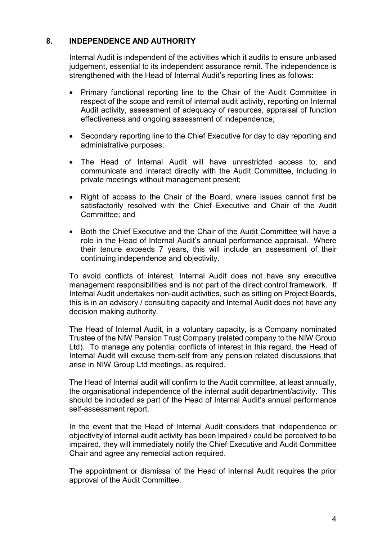# 8. INDEPENDENCE AND AUTHORITY

Internal Audit is independent of the activities which it audits to ensure unbiased judgement, essential to its independent assurance remit. The independence is strengthened with the Head of Internal Audit's reporting lines as follows:

- Primary functional reporting line to the Chair of the Audit Committee in respect of the scope and remit of internal audit activity, reporting on Internal Audit activity, assessment of adequacy of resources, appraisal of function effectiveness and ongoing assessment of independence;
- Secondary reporting line to the Chief Executive for day to day reporting and administrative purposes;
- The Head of Internal Audit will have unrestricted access to, and communicate and interact directly with the Audit Committee, including in private meetings without management present;
- Right of access to the Chair of the Board, where issues cannot first be satisfactorily resolved with the Chief Executive and Chair of the Audit Committee; and
- Both the Chief Executive and the Chair of the Audit Committee will have a role in the Head of Internal Audit's annual performance appraisal. Where their tenure exceeds 7 years, this will include an assessment of their continuing independence and objectivity.

To avoid conflicts of interest, Internal Audit does not have any executive management responsibilities and is not part of the direct control framework. If Internal Audit undertakes non-audit activities, such as sitting on Project Boards, this is in an advisory / consulting capacity and Internal Audit does not have any decision making authority.

The Head of Internal Audit, in a voluntary capacity, is a Company nominated Trustee of the NIW Pension Trust Company (related company to the NIW Group Ltd). To manage any potential conflicts of interest in this regard, the Head of Internal Audit will excuse them-self from any pension related discussions that arise in NIW Group Ltd meetings, as required.

The Head of Internal audit will confirm to the Audit committee, at least annually, the organisational independence of the internal audit department/activity. This should be included as part of the Head of Internal Audit's annual performance self-assessment report.

In the event that the Head of Internal Audit considers that independence or objectivity of internal audit activity has been impaired / could be perceived to be impaired, they will immediately notify the Chief Executive and Audit Committee Chair and agree any remedial action required.

The appointment or dismissal of the Head of Internal Audit requires the prior approval of the Audit Committee.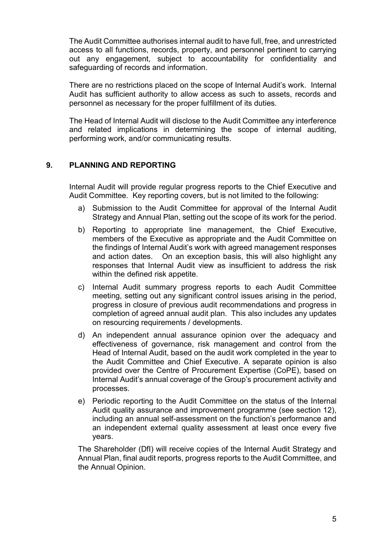The Audit Committee authorises internal audit to have full, free, and unrestricted access to all functions, records, property, and personnel pertinent to carrying out any engagement, subject to accountability for confidentiality and safeguarding of records and information.

There are no restrictions placed on the scope of Internal Audit's work. Internal Audit has sufficient authority to allow access as such to assets, records and personnel as necessary for the proper fulfillment of its duties.

The Head of Internal Audit will disclose to the Audit Committee any interference and related implications in determining the scope of internal auditing, performing work, and/or communicating results.

# 9. PLANNING AND REPORTING

Internal Audit will provide regular progress reports to the Chief Executive and Audit Committee. Key reporting covers, but is not limited to the following:

- a) Submission to the Audit Committee for approval of the Internal Audit Strategy and Annual Plan, setting out the scope of its work for the period.
- b) Reporting to appropriate line management, the Chief Executive, members of the Executive as appropriate and the Audit Committee on the findings of Internal Audit's work with agreed management responses and action dates. On an exception basis, this will also highlight any responses that Internal Audit view as insufficient to address the risk within the defined risk appetite.
- c) Internal Audit summary progress reports to each Audit Committee meeting, setting out any significant control issues arising in the period, progress in closure of previous audit recommendations and progress in completion of agreed annual audit plan. This also includes any updates on resourcing requirements / developments.
- d) An independent annual assurance opinion over the adequacy and effectiveness of governance, risk management and control from the Head of Internal Audit, based on the audit work completed in the year to the Audit Committee and Chief Executive. A separate opinion is also provided over the Centre of Procurement Expertise (CoPE), based on Internal Audit's annual coverage of the Group's procurement activity and processes.
- e) Periodic reporting to the Audit Committee on the status of the Internal Audit quality assurance and improvement programme (see section 12), including an annual self-assessment on the function's performance and an independent external quality assessment at least once every five years.

The Shareholder (DfI) will receive copies of the Internal Audit Strategy and Annual Plan, final audit reports, progress reports to the Audit Committee, and the Annual Opinion.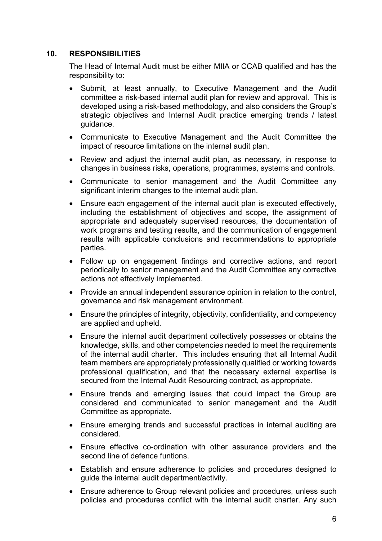## 10. RESPONSIBILITIES

The Head of Internal Audit must be either MIIA or CCAB qualified and has the responsibility to:

- Submit, at least annually, to Executive Management and the Audit committee a risk-based internal audit plan for review and approval. This is developed using a risk-based methodology, and also considers the Group's strategic objectives and Internal Audit practice emerging trends / latest guidance.
- Communicate to Executive Management and the Audit Committee the impact of resource limitations on the internal audit plan.
- Review and adjust the internal audit plan, as necessary, in response to changes in business risks, operations, programmes, systems and controls.
- Communicate to senior management and the Audit Committee any significant interim changes to the internal audit plan.
- Ensure each engagement of the internal audit plan is executed effectively, including the establishment of objectives and scope, the assignment of appropriate and adequately supervised resources, the documentation of work programs and testing results, and the communication of engagement results with applicable conclusions and recommendations to appropriate parties.
- Follow up on engagement findings and corrective actions, and report periodically to senior management and the Audit Committee any corrective actions not effectively implemented.
- Provide an annual independent assurance opinion in relation to the control, governance and risk management environment.
- Ensure the principles of integrity, objectivity, confidentiality, and competency are applied and upheld.
- Ensure the internal audit department collectively possesses or obtains the knowledge, skills, and other competencies needed to meet the requirements of the internal audit charter. This includes ensuring that all Internal Audit team members are appropriately professionally qualified or working towards professional qualification, and that the necessary external expertise is secured from the Internal Audit Resourcing contract, as appropriate.
- Ensure trends and emerging issues that could impact the Group are considered and communicated to senior management and the Audit Committee as appropriate.
- Ensure emerging trends and successful practices in internal auditing are considered.
- Ensure effective co-ordination with other assurance providers and the second line of defence funtions.
- Establish and ensure adherence to policies and procedures designed to guide the internal audit department/activity.
- Ensure adherence to Group relevant policies and procedures, unless such policies and procedures conflict with the internal audit charter. Any such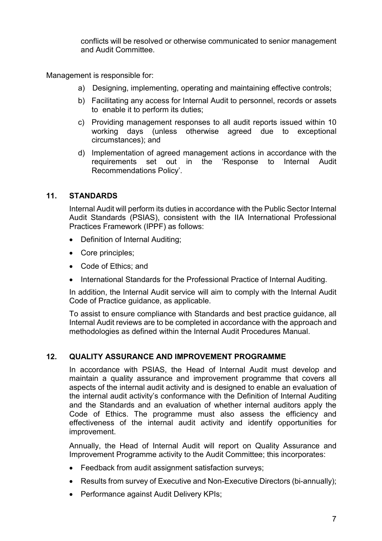conflicts will be resolved or otherwise communicated to senior management and Audit Committee.

Management is responsible for:

- a) Designing, implementing, operating and maintaining effective controls;
- b) Facilitating any access for Internal Audit to personnel, records or assets to enable it to perform its duties;
- c) Providing management responses to all audit reports issued within 10 working days (unless otherwise agreed due to exceptional circumstances); and
- d) Implementation of agreed management actions in accordance with the requirements set out in the 'Response to Internal Audit Recommendations Policy'.

# 11. STANDARDS

Internal Audit will perform its duties in accordance with the Public Sector Internal Audit Standards (PSIAS), consistent with the IIA International Professional Practices Framework (IPPF) as follows:

- Definition of Internal Auditing;
- Core principles:
- Code of Ethics: and
- International Standards for the Professional Practice of Internal Auditing.

In addition, the Internal Audit service will aim to comply with the Internal Audit Code of Practice guidance, as applicable.

To assist to ensure compliance with Standards and best practice guidance, all Internal Audit reviews are to be completed in accordance with the approach and methodologies as defined within the Internal Audit Procedures Manual.

#### 12. QUALITY ASSURANCE AND IMPROVEMENT PROGRAMME

In accordance with PSIAS, the Head of Internal Audit must develop and maintain a quality assurance and improvement programme that covers all aspects of the internal audit activity and is designed to enable an evaluation of the internal audit activity's conformance with the Definition of Internal Auditing and the Standards and an evaluation of whether internal auditors apply the Code of Ethics. The programme must also assess the efficiency and effectiveness of the internal audit activity and identify opportunities for improvement.

Annually, the Head of Internal Audit will report on Quality Assurance and Improvement Programme activity to the Audit Committee; this incorporates:

- Feedback from audit assignment satisfaction surveys;
- Results from survey of Executive and Non-Executive Directors (bi-annually);
- Performance against Audit Delivery KPIs;